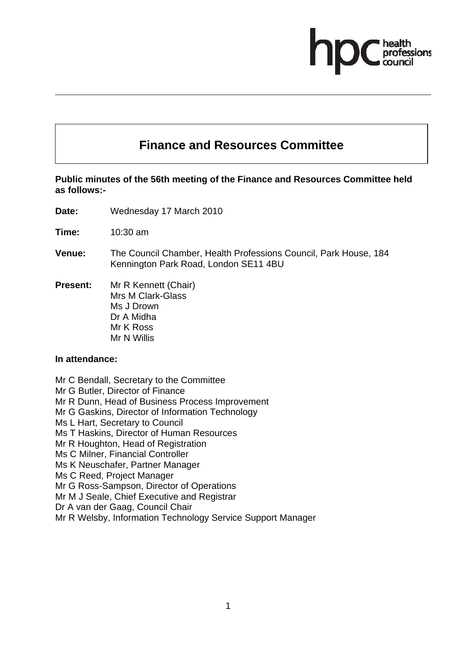# **Finance and Resources Committee**

# **Public minutes of the 56th meeting of the Finance and Resources Committee held as follows:-**

- **Date:** Wednesday 17 March 2010
- **Time:** 10:30 am
- **Venue:** The Council Chamber, Health Professions Council, Park House, 184 Kennington Park Road, London SE11 4BU
- **Present:** Mr R Kennett (Chair) Mrs M Clark-Glass Ms J Drown Dr A Midha Mr K Ross Mr N Willis

#### **In attendance:**

Mr C Bendall, Secretary to the Committee

Mr G Butler, Director of Finance

Mr R Dunn, Head of Business Process Improvement

Mr G Gaskins, Director of Information Technology

Ms L Hart, Secretary to Council

Ms T Haskins, Director of Human Resources

Mr R Houghton, Head of Registration

Ms C Milner, Financial Controller

Ms K Neuschafer, Partner Manager

Ms C Reed, Project Manager

Mr G Ross-Sampson, Director of Operations

Mr M J Seale, Chief Executive and Registrar

Dr A van der Gaag, Council Chair

Mr R Welsby, Information Technology Service Support Manager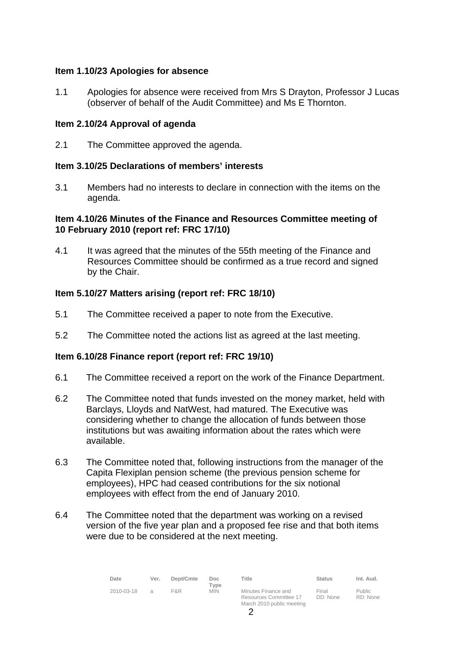# **Item 1.10/23 Apologies for absence**

1.1 Apologies for absence were received from Mrs S Drayton, Professor J Lucas (observer of behalf of the Audit Committee) and Ms E Thornton.

# **Item 2.10/24 Approval of agenda**

2.1 The Committee approved the agenda.

# **Item 3.10/25 Declarations of members' interests**

3.1 Members had no interests to declare in connection with the items on the agenda.

#### **Item 4.10/26 Minutes of the Finance and Resources Committee meeting of 10 February 2010 (report ref: FRC 17/10)**

4.1 It was agreed that the minutes of the 55th meeting of the Finance and Resources Committee should be confirmed as a true record and signed by the Chair.

# **Item 5.10/27 Matters arising (report ref: FRC 18/10)**

- 5.1 The Committee received a paper to note from the Executive.
- 5.2 The Committee noted the actions list as agreed at the last meeting.

# **Item 6.10/28 Finance report (report ref: FRC 19/10)**

- 6.1 The Committee received a report on the work of the Finance Department.
- 6.2 The Committee noted that funds invested on the money market, held with Barclays, Lloyds and NatWest, had matured. The Executive was considering whether to change the allocation of funds between those institutions but was awaiting information about the rates which were available.
- 6.3 The Committee noted that, following instructions from the manager of the Capita Flexiplan pension scheme (the previous pension scheme for employees), HPC had ceased contributions for the six notional employees with effect from the end of January 2010.
- 6.4 The Committee noted that the department was working on a revised version of the five year plan and a proposed fee rise and that both items were due to be considered at the next meeting.

| Date       | Ver. | Dept/Cmte | Doc.<br>Type | Title                                         | <b>Status</b>     | Int. Aud.          |
|------------|------|-----------|--------------|-----------------------------------------------|-------------------|--------------------|
| 2010-03-18 |      | F&R       | <b>MIN</b>   | Minutes Finance and<br>Resources Committee 17 | Final<br>DD: None | Public<br>RD: None |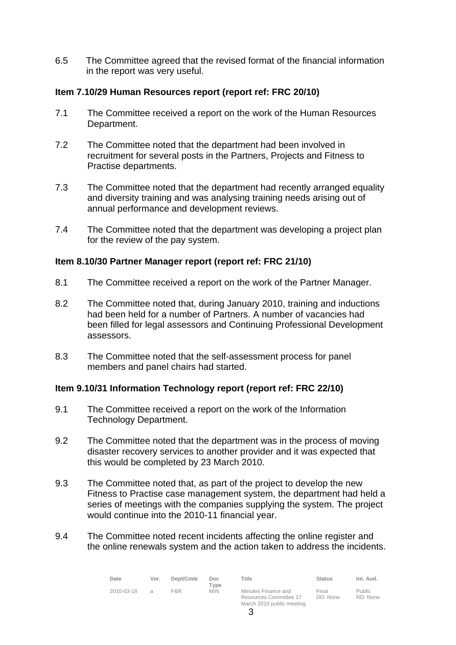6.5 The Committee agreed that the revised format of the financial information in the report was very useful.

# **Item 7.10/29 Human Resources report (report ref: FRC 20/10)**

- 7.1 The Committee received a report on the work of the Human Resources Department.
- 7.2 The Committee noted that the department had been involved in recruitment for several posts in the Partners, Projects and Fitness to Practise departments.
- 7.3 The Committee noted that the department had recently arranged equality and diversity training and was analysing training needs arising out of annual performance and development reviews.
- 7.4 The Committee noted that the department was developing a project plan for the review of the pay system.

# **Item 8.10/30 Partner Manager report (report ref: FRC 21/10)**

- 8.1 The Committee received a report on the work of the Partner Manager.
- 8.2 The Committee noted that, during January 2010, training and inductions had been held for a number of Partners. A number of vacancies had been filled for legal assessors and Continuing Professional Development assessors.
- 8.3 The Committee noted that the self-assessment process for panel members and panel chairs had started.

# **Item 9.10/31 Information Technology report (report ref: FRC 22/10)**

- 9.1 The Committee received a report on the work of the Information Technology Department.
- 9.2 The Committee noted that the department was in the process of moving disaster recovery services to another provider and it was expected that this would be completed by 23 March 2010.
- 9.3 The Committee noted that, as part of the project to develop the new Fitness to Practise case management system, the department had held a series of meetings with the companies supplying the system. The project would continue into the 2010-11 financial year.
- 9.4 The Committee noted recent incidents affecting the online register and the online renewals system and the action taken to address the incidents.

| Date       | Ver. | Dept/Cmte | Doc.<br>Type | Title                                                                      | <b>Status</b>     | Int. Aud.                 |
|------------|------|-----------|--------------|----------------------------------------------------------------------------|-------------------|---------------------------|
| 2010-03-18 |      | F&R       | <b>MIN</b>   | Minutes Finance and<br>Resources Committee 17<br>March 2010 public meeting | Final<br>DD: None | <b>Public</b><br>RD: None |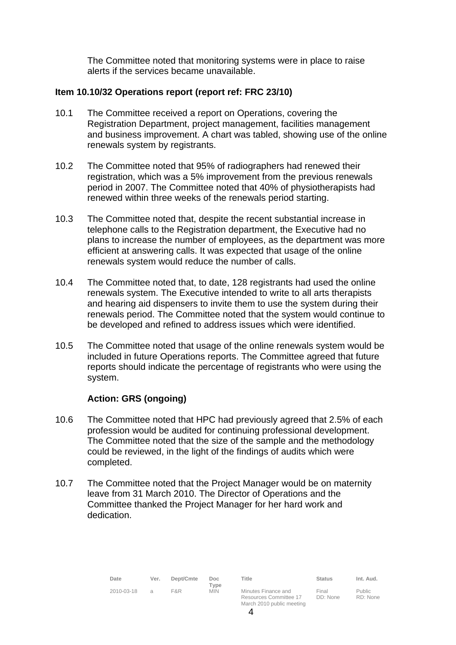The Committee noted that monitoring systems were in place to raise alerts if the services became unavailable.

# **Item 10.10/32 Operations report (report ref: FRC 23/10)**

- 10.1 The Committee received a report on Operations, covering the Registration Department, project management, facilities management and business improvement. A chart was tabled, showing use of the online renewals system by registrants.
- 10.2 The Committee noted that 95% of radiographers had renewed their registration, which was a 5% improvement from the previous renewals period in 2007. The Committee noted that 40% of physiotherapists had renewed within three weeks of the renewals period starting.
- 10.3 The Committee noted that, despite the recent substantial increase in telephone calls to the Registration department, the Executive had no plans to increase the number of employees, as the department was more efficient at answering calls. It was expected that usage of the online renewals system would reduce the number of calls.
- 10.4 The Committee noted that, to date, 128 registrants had used the online renewals system. The Executive intended to write to all arts therapists and hearing aid dispensers to invite them to use the system during their renewals period. The Committee noted that the system would continue to be developed and refined to address issues which were identified.
- 10.5 The Committee noted that usage of the online renewals system would be included in future Operations reports. The Committee agreed that future reports should indicate the percentage of registrants who were using the system.

# **Action: GRS (ongoing)**

- 10.6 The Committee noted that HPC had previously agreed that 2.5% of each profession would be audited for continuing professional development. The Committee noted that the size of the sample and the methodology could be reviewed, in the light of the findings of audits which were completed.
- 10.7 The Committee noted that the Project Manager would be on maternity leave from 31 March 2010. The Director of Operations and the Committee thanked the Project Manager for her hard work and dedication.

| Date       | Ver.          | Dept/Cmte | Doc.<br>Tvpe | Title                                                                      | <b>Status</b>     | Int. Aud.                 |
|------------|---------------|-----------|--------------|----------------------------------------------------------------------------|-------------------|---------------------------|
| 2010-03-18 | $\mathcal{A}$ | F&R.      | <b>MIN</b>   | Minutes Finance and<br>Resources Committee 17<br>March 2010 public meeting | Final<br>DD: None | <b>Public</b><br>RD: None |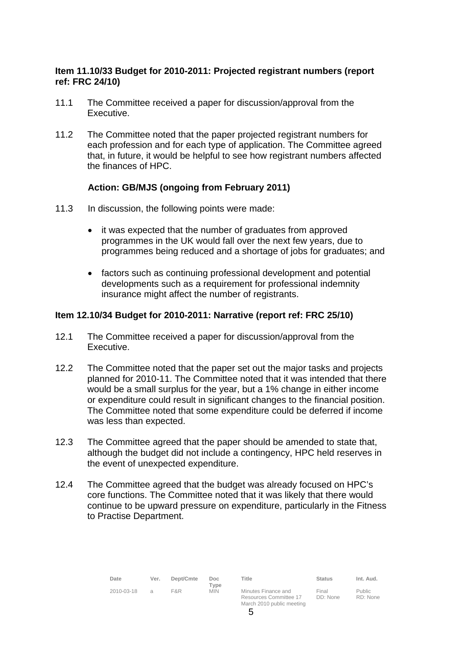# **Item 11.10/33 Budget for 2010-2011: Projected registrant numbers (report ref: FRC 24/10)**

- 11.1 The Committee received a paper for discussion/approval from the Executive.
- 11.2 The Committee noted that the paper projected registrant numbers for each profession and for each type of application. The Committee agreed that, in future, it would be helpful to see how registrant numbers affected the finances of HPC.

# **Action: GB/MJS (ongoing from February 2011)**

- 11.3 In discussion, the following points were made:
	- it was expected that the number of graduates from approved programmes in the UK would fall over the next few years, due to programmes being reduced and a shortage of jobs for graduates; and
	- factors such as continuing professional development and potential developments such as a requirement for professional indemnity insurance might affect the number of registrants.

#### **Item 12.10/34 Budget for 2010-2011: Narrative (report ref: FRC 25/10)**

- 12.1 The Committee received a paper for discussion/approval from the Executive.
- 12.2 The Committee noted that the paper set out the major tasks and projects planned for 2010-11. The Committee noted that it was intended that there would be a small surplus for the year, but a 1% change in either income or expenditure could result in significant changes to the financial position. The Committee noted that some expenditure could be deferred if income was less than expected.
- 12.3 The Committee agreed that the paper should be amended to state that, although the budget did not include a contingency, HPC held reserves in the event of unexpected expenditure.
- 12.4 The Committee agreed that the budget was already focused on HPC's core functions. The Committee noted that it was likely that there would continue to be upward pressure on expenditure, particularly in the Fitness to Practise Department.

| Date       | Ver.          | Dept/Cmte | Doc.<br>Tvpe | Title                                                                      | <b>Status</b>     | Int. Aud.          |
|------------|---------------|-----------|--------------|----------------------------------------------------------------------------|-------------------|--------------------|
| 2010-03-18 | $\mathcal{A}$ | F&R       | <b>MIN</b>   | Minutes Finance and<br>Resources Committee 17<br>March 2010 public meeting | Final<br>DD: None | Public<br>RD: None |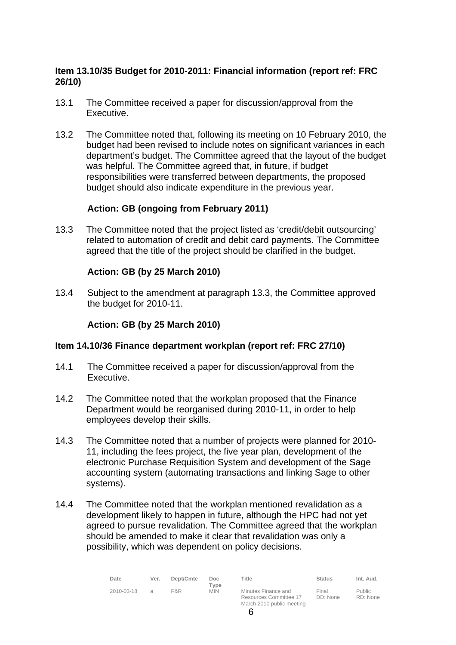# **Item 13.10/35 Budget for 2010-2011: Financial information (report ref: FRC 26/10)**

- 13.1 The Committee received a paper for discussion/approval from the Executive.
- 13.2 The Committee noted that, following its meeting on 10 February 2010, the budget had been revised to include notes on significant variances in each department's budget. The Committee agreed that the layout of the budget was helpful. The Committee agreed that, in future, if budget responsibilities were transferred between departments, the proposed budget should also indicate expenditure in the previous year.

# **Action: GB (ongoing from February 2011)**

13.3 The Committee noted that the project listed as 'credit/debit outsourcing' related to automation of credit and debit card payments. The Committee agreed that the title of the project should be clarified in the budget.

# **Action: GB (by 25 March 2010)**

13.4 Subject to the amendment at paragraph 13.3, the Committee approved the budget for 2010-11.

#### **Action: GB (by 25 March 2010)**

#### **Item 14.10/36 Finance department workplan (report ref: FRC 27/10)**

- 14.1 The Committee received a paper for discussion/approval from the Executive.
- 14.2 The Committee noted that the workplan proposed that the Finance Department would be reorganised during 2010-11, in order to help employees develop their skills.
- 14.3 The Committee noted that a number of projects were planned for 2010- 11, including the fees project, the five year plan, development of the electronic Purchase Requisition System and development of the Sage accounting system (automating transactions and linking Sage to other systems).
- 14.4 The Committee noted that the workplan mentioned revalidation as a development likely to happen in future, although the HPC had not yet agreed to pursue revalidation. The Committee agreed that the workplan should be amended to make it clear that revalidation was only a possibility, which was dependent on policy decisions.

| Date       | Ver. | Dept/Cmte | Doc.<br>Tvpe | Title                                                                      | <b>Status</b>     | Int. Aud.                 |
|------------|------|-----------|--------------|----------------------------------------------------------------------------|-------------------|---------------------------|
| 2010-03-18 |      | F&R       | <b>MIN</b>   | Minutes Finance and<br>Resources Committee 17<br>March 2010 public meeting | Final<br>DD: None | <b>Public</b><br>RD: None |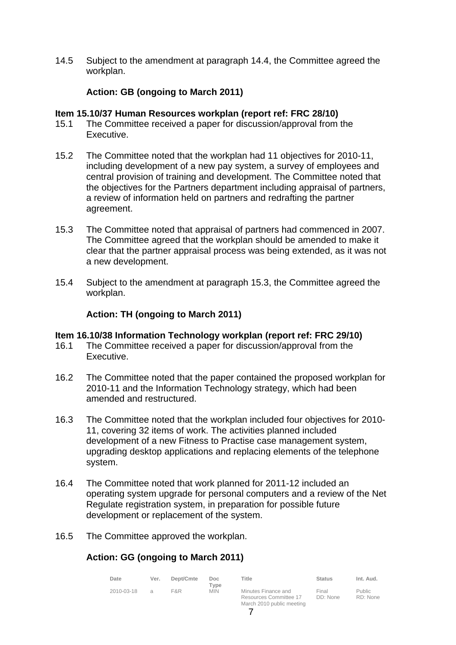14.5 Subject to the amendment at paragraph 14.4, the Committee agreed the workplan.

# **Action: GB (ongoing to March 2011)**

#### **Item 15.10/37 Human Resources workplan (report ref: FRC 28/10)**

- 15.1 The Committee received a paper for discussion/approval from the Executive.
- 15.2 The Committee noted that the workplan had 11 objectives for 2010-11, including development of a new pay system, a survey of employees and central provision of training and development. The Committee noted that the objectives for the Partners department including appraisal of partners, a review of information held on partners and redrafting the partner agreement.
- 15.3 The Committee noted that appraisal of partners had commenced in 2007. The Committee agreed that the workplan should be amended to make it clear that the partner appraisal process was being extended, as it was not a new development.
- 15.4 Subject to the amendment at paragraph 15.3, the Committee agreed the workplan.

# **Action: TH (ongoing to March 2011)**

# **Item 16.10/38 Information Technology workplan (report ref: FRC 29/10)**

- 16.1 The Committee received a paper for discussion/approval from the Executive.
- 16.2 The Committee noted that the paper contained the proposed workplan for 2010-11 and the Information Technology strategy, which had been amended and restructured.
- 16.3 The Committee noted that the workplan included four objectives for 2010- 11, covering 32 items of work. The activities planned included development of a new Fitness to Practise case management system, upgrading desktop applications and replacing elements of the telephone system.
- 16.4 The Committee noted that work planned for 2011-12 included an operating system upgrade for personal computers and a review of the Net Regulate registration system, in preparation for possible future development or replacement of the system.
- 16.5 The Committee approved the workplan.

# **Action: GG (ongoing to March 2011)**

| Date       | Ver. | Dept/Cmte | Doc.<br>Type | Title                                         | <b>Status</b>     | Int. Aud.          |
|------------|------|-----------|--------------|-----------------------------------------------|-------------------|--------------------|
| 2010-03-18 |      | F&R       | <b>MIN</b>   | Minutes Finance and<br>Resources Committee 17 | Final<br>DD: None | Public<br>RD: None |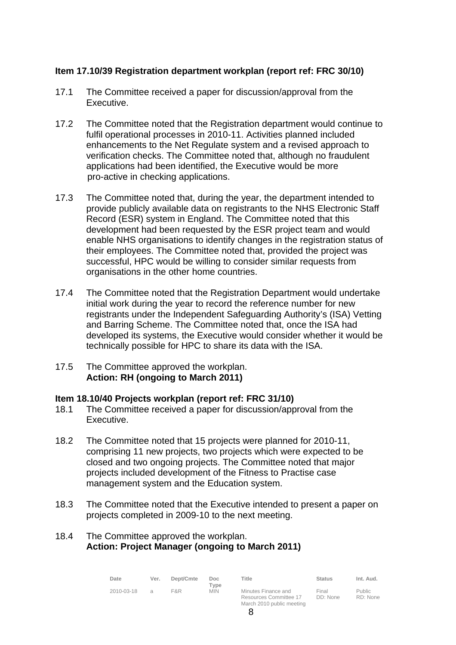# **Item 17.10/39 Registration department workplan (report ref: FRC 30/10)**

- 17.1 The Committee received a paper for discussion/approval from the Executive.
- 17.2 The Committee noted that the Registration department would continue to fulfil operational processes in 2010-11. Activities planned included enhancements to the Net Regulate system and a revised approach to verification checks. The Committee noted that, although no fraudulent applications had been identified, the Executive would be more pro-active in checking applications.
- 17.3 The Committee noted that, during the year, the department intended to provide publicly available data on registrants to the NHS Electronic Staff Record (ESR) system in England. The Committee noted that this development had been requested by the ESR project team and would enable NHS organisations to identify changes in the registration status of their employees. The Committee noted that, provided the project was successful, HPC would be willing to consider similar requests from organisations in the other home countries.
- 17.4 The Committee noted that the Registration Department would undertake initial work during the year to record the reference number for new registrants under the Independent Safeguarding Authority's (ISA) Vetting and Barring Scheme. The Committee noted that, once the ISA had developed its systems, the Executive would consider whether it would be technically possible for HPC to share its data with the ISA.
- 17.5 The Committee approved the workplan. **Action: RH (ongoing to March 2011)**

# **Item 18.10/40 Projects workplan (report ref: FRC 31/10)**

- 18.1 The Committee received a paper for discussion/approval from the Executive.
- 18.2 The Committee noted that 15 projects were planned for 2010-11, comprising 11 new projects, two projects which were expected to be closed and two ongoing projects. The Committee noted that major projects included development of the Fitness to Practise case management system and the Education system.
- 18.3 The Committee noted that the Executive intended to present a paper on projects completed in 2009-10 to the next meeting.

#### 18.4 The Committee approved the workplan. **Action: Project Manager (ongoing to March 2011)**

| Date       | Ver.          | Dept/Cmte | Doc.<br>Type | Title                                                                      | <b>Status</b>     | Int. Aud.                 |
|------------|---------------|-----------|--------------|----------------------------------------------------------------------------|-------------------|---------------------------|
| 2010-03-18 | $\mathcal{A}$ | F&R       | <b>MIN</b>   | Minutes Finance and<br>Resources Committee 17<br>March 2010 public meeting | Final<br>DD: None | <b>Public</b><br>RD: None |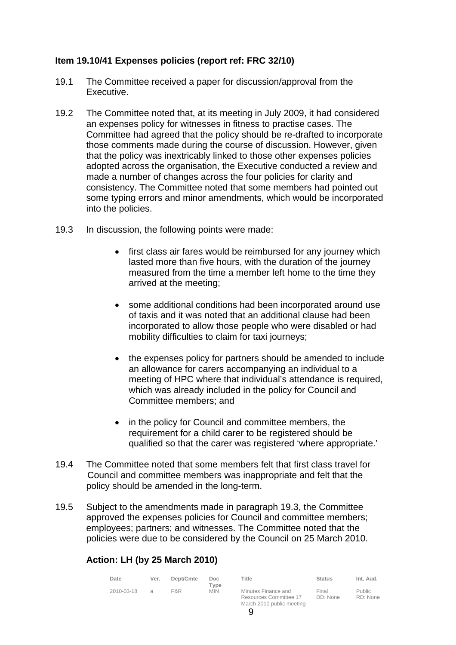# **Item 19.10/41 Expenses policies (report ref: FRC 32/10)**

- 19.1 The Committee received a paper for discussion/approval from the Executive.
- 19.2 The Committee noted that, at its meeting in July 2009, it had considered an expenses policy for witnesses in fitness to practise cases. The Committee had agreed that the policy should be re-drafted to incorporate those comments made during the course of discussion. However, given that the policy was inextricably linked to those other expenses policies adopted across the organisation, the Executive conducted a review and made a number of changes across the four policies for clarity and consistency. The Committee noted that some members had pointed out some typing errors and minor amendments, which would be incorporated into the policies.
- 19.3 In discussion, the following points were made:
	- first class air fares would be reimbursed for any journey which lasted more than five hours, with the duration of the journey measured from the time a member left home to the time they arrived at the meeting;
	- some additional conditions had been incorporated around use of taxis and it was noted that an additional clause had been incorporated to allow those people who were disabled or had mobility difficulties to claim for taxi journeys;
	- the expenses policy for partners should be amended to include an allowance for carers accompanying an individual to a meeting of HPC where that individual's attendance is required, which was already included in the policy for Council and Committee members; and
	- in the policy for Council and committee members, the requirement for a child carer to be registered should be qualified so that the carer was registered 'where appropriate.'
- 19.4 The Committee noted that some members felt that first class travel for Council and committee members was inappropriate and felt that the policy should be amended in the long-term.
- 19.5 Subject to the amendments made in paragraph 19.3, the Committee approved the expenses policies for Council and committee members; employees; partners; and witnesses. The Committee noted that the policies were due to be considered by the Council on 25 March 2010.

# **Action: LH (by 25 March 2010)**

| Date       | Ver.          | Dept/Cmte | Doc.<br>Tvpe | Title                                                                      | <b>Status</b>     | Int. Aud.          |
|------------|---------------|-----------|--------------|----------------------------------------------------------------------------|-------------------|--------------------|
| 2010-03-18 | $\mathcal{A}$ | F&R       | <b>MIN</b>   | Minutes Finance and<br>Resources Committee 17<br>March 2010 public meeting | Final<br>DD: None | Public<br>RD: None |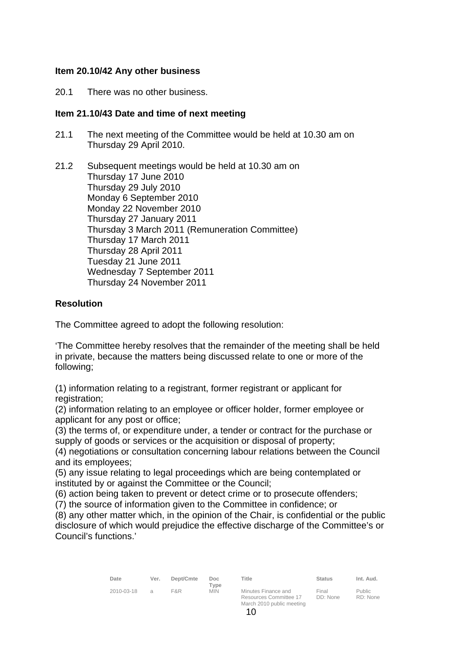#### **Item 20.10/42 Any other business**

20.1 There was no other business.

#### **Item 21.10/43 Date and time of next meeting**

- 21.1 The next meeting of the Committee would be held at 10.30 am on Thursday 29 April 2010.
- 21.2 Subsequent meetings would be held at 10.30 am on Thursday 17 June 2010 Thursday 29 July 2010 Monday 6 September 2010 Monday 22 November 2010 Thursday 27 January 2011 Thursday 3 March 2011 (Remuneration Committee) Thursday 17 March 2011 Thursday 28 April 2011 Tuesday 21 June 2011 Wednesday 7 September 2011 Thursday 24 November 2011

# **Resolution**

The Committee agreed to adopt the following resolution:

'The Committee hereby resolves that the remainder of the meeting shall be held in private, because the matters being discussed relate to one or more of the following;

(1) information relating to a registrant, former registrant or applicant for registration:

(2) information relating to an employee or officer holder, former employee or applicant for any post or office;

(3) the terms of, or expenditure under, a tender or contract for the purchase or supply of goods or services or the acquisition or disposal of property;

(4) negotiations or consultation concerning labour relations between the Council and its employees;

(5) any issue relating to legal proceedings which are being contemplated or instituted by or against the Committee or the Council;

(6) action being taken to prevent or detect crime or to prosecute offenders;

(7) the source of information given to the Committee in confidence; or

(8) any other matter which, in the opinion of the Chair, is confidential or the public disclosure of which would prejudice the effective discharge of the Committee's or Council's functions.'

| Date       | Ver.          | Dept/Cmte | Doc.<br>Type | Title                                                                      | <b>Status</b>     | Int. Aud.          |
|------------|---------------|-----------|--------------|----------------------------------------------------------------------------|-------------------|--------------------|
| 2010-03-18 | $\mathcal{A}$ | F&R       | <b>MIN</b>   | Minutes Finance and<br>Resources Committee 17<br>March 2010 public meeting | Final<br>DD: None | Public<br>RD: None |